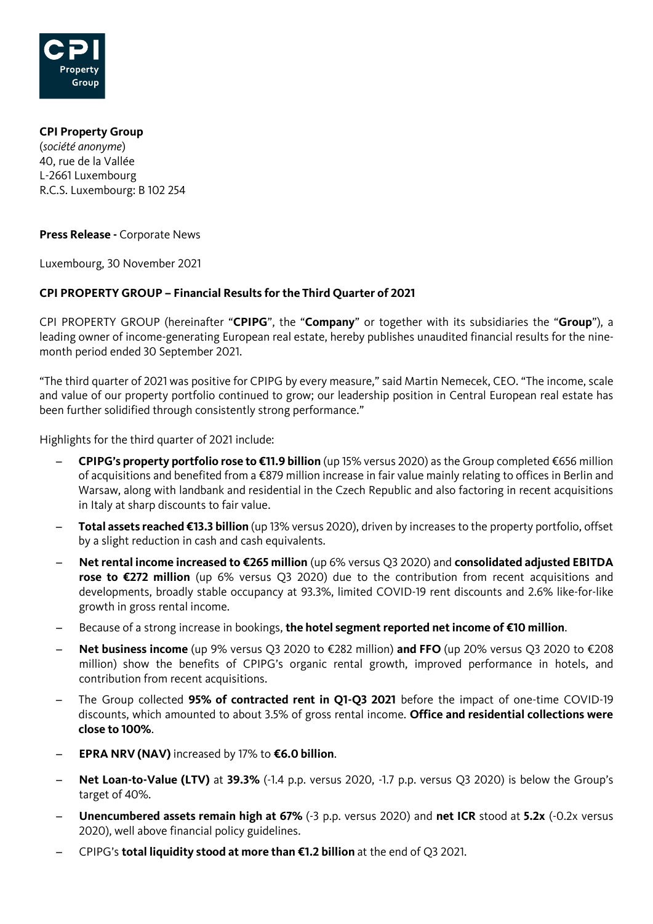

**CPI Property Group** (*société anonyme*) 40, rue de la Vallée L-2661 Luxembourg R.C.S. Luxembourg: B 102 254

**Press Release -** Corporate News

Luxembourg, 30 November 2021

## **CPI PROPERTY GROUP – Financial Results for the Third Quarter of 2021**

CPI PROPERTY GROUP (hereinafter "**CPIPG**", the "**Company**" or together with its subsidiaries the "**Group**"), a leading owner of income-generating European real estate, hereby publishes unaudited financial results for the ninemonth period ended 30 September 2021.

"The third quarter of 2021 was positive for CPIPG by every measure," said Martin Nemecek, CEO. "The income, scale and value of our property portfolio continued to grow; our leadership position in Central European real estate has been further solidified through consistently strong performance."

Highlights for the third quarter of 2021 include:

- ̶ **CPIPG's property portfolio rose to €11.9 billion** (up 15% versus 2020) as the Group completed €656 million of acquisitions and benefited from a €879 million increase in fair value mainly relating to offices in Berlin and Warsaw, along with landbank and residential in the Czech Republic and also factoring in recent acquisitions in Italy at sharp discounts to fair value.
- ̶ **Total assets reached €13.3 billion** (up 13% versus 2020), driven by increases to the property portfolio, offset by a slight reduction in cash and cash equivalents.
- ̶ **Net rental income increased to €265 million** (up 6% versus Q3 2020) and **consolidated adjusted EBITDA rose to €272 million** (up 6% versus Q3 2020) due to the contribution from recent acquisitions and developments, broadly stable occupancy at 93.3%, limited COVID-19 rent discounts and 2.6% like-for-like growth in gross rental income.
- ̶ Because of a strong increase in bookings, **the hotel segment reported net income of €10 million**.
- ̶ **Net business income** (up 9% versus Q3 2020 to €282 million) **and FFO** (up 20% versus Q3 2020 to €208 million) show the benefits of CPIPG's organic rental growth, improved performance in hotels, and contribution from recent acquisitions.
- ̶ The Group collected **95% of contracted rent in Q1-Q3 2021** before the impact of one-time COVID-19 discounts, which amounted to about 3.5% of gross rental income. **Office and residential collections were close to 100%**.
- ̶ **EPRA NRV (NAV)** increased by 17% to **€6.0 billion**.
- ̶ **Net Loan-to-Value (LTV)** at **39.3%** (-1.4 p.p. versus 2020, -1.7 p.p. versus Q3 2020) is below the Group's target of 40%.
- ̶ **Unencumbered assets remain high at 67%** (-3 p.p. versus 2020) and **net ICR** stood at **5.2x** (-0.2x versus 2020), well above financial policy guidelines.
- ̶ CPIPG's **total liquidity stood at more than €1.2 billion** at the end of Q3 2021.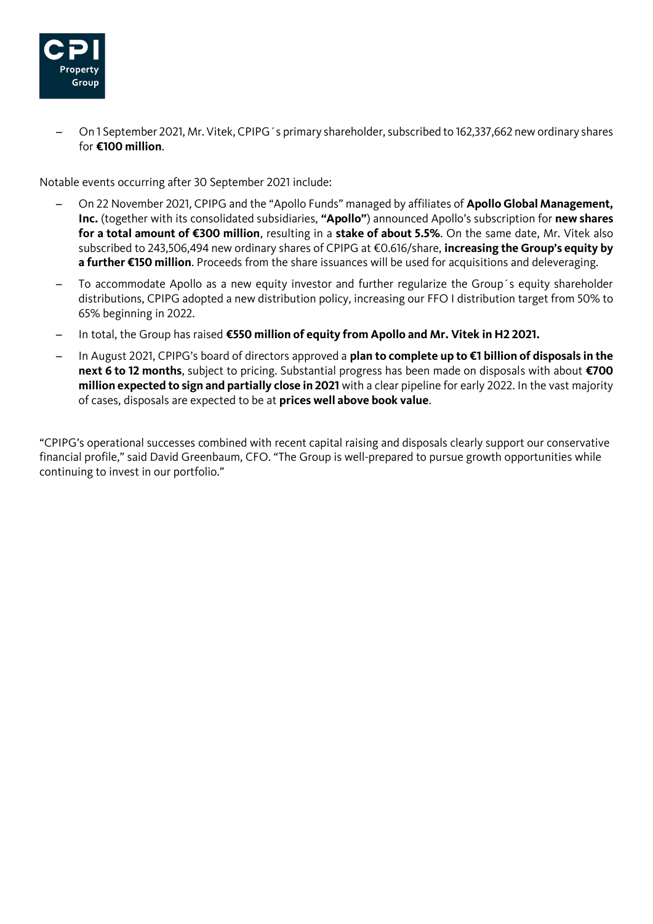

̶ On 1 September 2021, Mr. Vitek, CPIPG´s primary shareholder, subscribed to 162,337,662 new ordinary shares for **€100 million**.

Notable events occurring after 30 September 2021 include:

- ̶ On 22 November 2021, CPIPG and the "Apollo Funds" managed by affiliates of **Apollo Global Management, Inc.** (together with its consolidated subsidiaries, **"Apollo"**) announced Apollo's subscription for **new shares for a total amount of €300 million**, resulting in a **stake of about 5.5%**. On the same date, Mr. Vitek also subscribed to 243,506,494 new ordinary shares of CPIPG at €0.616/share, **increasing the Group's equity by a further €150 million**. Proceeds from the share issuances will be used for acquisitions and deleveraging.
- ̶ To accommodate Apollo as a new equity investor and further regularize the Group´s equity shareholder distributions, CPIPG adopted a new distribution policy, increasing our FFO I distribution target from 50% to 65% beginning in 2022.
- ̶ In total, the Group has raised **€550 million of equity from Apollo and Mr. Vitek in H2 2021.**
- ̶ In August 2021, CPIPG's board of directors approved a **plan to complete up to €1 billion of disposals in the next 6 to 12 months**, subject to pricing. Substantial progress has been made on disposals with about **€700 million expected to sign and partially close in 2021** with a clear pipeline for early 2022. In the vast majority of cases, disposals are expected to be at **prices well above book value**.

"CPIPG's operational successes combined with recent capital raising and disposals clearly support our conservative financial profile," said David Greenbaum, CFO. "The Group is well-prepared to pursue growth opportunities while continuing to invest in our portfolio."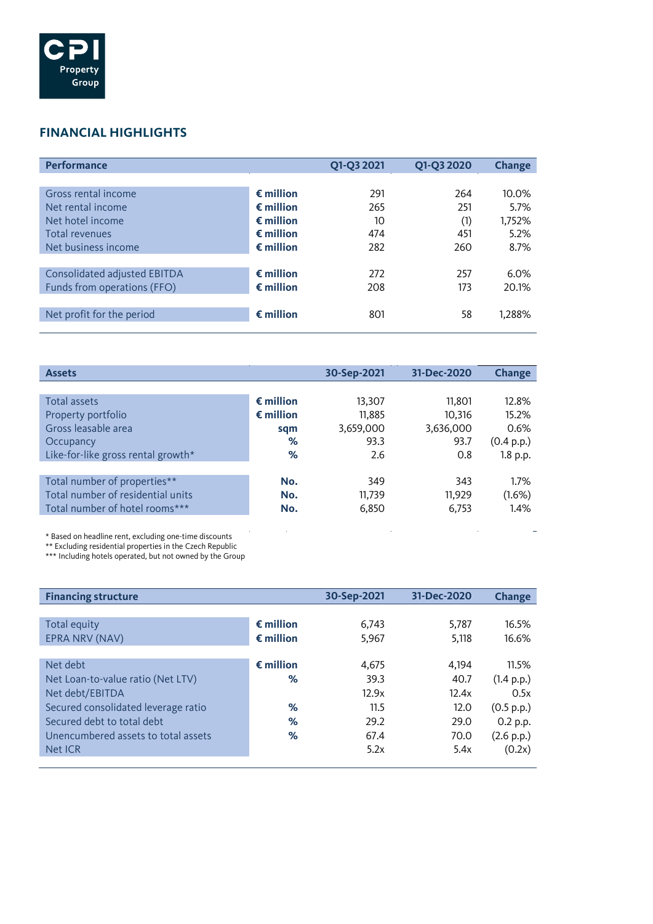

# **FINANCIAL HIGHLIGHTS**

| <b>Performance</b>           |                    | Q1-Q3 2021 | Q1-Q3 2020 | <b>Change</b> |
|------------------------------|--------------------|------------|------------|---------------|
|                              |                    |            |            |               |
| Gross rental income          | $\epsilon$ million | 291        | 264        | 10.0%         |
| Net rental income            | $\epsilon$ million | 265        | 251        | 5.7%          |
| Net hotel income             | $\epsilon$ million | 10         | (1)        | 1,752%        |
| Total revenues               | $\epsilon$ million | 474        | 451        | 5.2%          |
| Net business income          | $\epsilon$ million | 282        | 260        | 8.7%          |
|                              |                    |            |            |               |
| Consolidated adjusted EBITDA | $\epsilon$ million | 272        | 257        | 6.0%          |
| Funds from operations (FFO)  | $\epsilon$ million | 208        | 173        | 20.1%         |
|                              |                    |            |            |               |
| Net profit for the period    | $\epsilon$ million | 801        | 58         | 1,288%        |
|                              |                    |            |            |               |

| <b>Assets</b>                      |                    | 30-Sep-2021 | 31-Dec-2020 | <b>Change</b> |
|------------------------------------|--------------------|-------------|-------------|---------------|
|                                    |                    |             |             |               |
| Total assets                       | $\epsilon$ million | 13,307      | 11,801      | 12.8%         |
| Property portfolio                 | $\epsilon$ million | 11,885      | 10.316      | 15.2%         |
| Gross leasable area                | sqm                | 3,659,000   | 3,636,000   | 0.6%          |
| Occupancy                          | %                  | 93.3        | 93.7        | (0.4 p.p.)    |
| Like-for-like gross rental growth* | %                  | 2.6         | 0.8         | 1.8 p.p.      |
|                                    |                    |             |             |               |
| Total number of properties**       | No.                | 349         | 343         | 1.7%          |
| Total number of residential units  | No.                | 11,739      | 11.929      | (1.6%)        |
| Total number of hotel rooms***     | No.                | 6,850       | 6,753       | 1.4%          |

÷.

\* Based on headline rent, excluding one-time discounts

\*\* Excluding residential properties in the Czech Republic

\*\*\* Including hotels operated, but not owned by the Group

| <b>Financing structure</b>          |                    | 30-Sep-2021 | 31-Dec-2020 | <b>Change</b> |
|-------------------------------------|--------------------|-------------|-------------|---------------|
|                                     |                    |             |             |               |
| Total equity                        | $\epsilon$ million | 6,743       | 5.787       | 16.5%         |
| EPRA NRV (NAV)                      | $\epsilon$ million | 5,967       | 5,118       | 16.6%         |
|                                     |                    |             |             |               |
| Net debt                            | $\epsilon$ million | 4,675       | 4.194       | 11.5%         |
| Net Loan-to-value ratio (Net LTV)   | ℅                  | 39.3        | 40.7        | (1.4 p.p.)    |
| Net debt/EBITDA                     |                    | 12.9x       | 12.4x       | 0.5x          |
| Secured consolidated leverage ratio | ℅                  | 11.5        | 12.0        | (0.5 p.p.)    |
| Secured debt to total debt          | %                  | 29.2        | 29.0        | 0.2 p.p.      |
| Unencumbered assets to total assets | ℅                  | 67.4        | 70.0        | (2.6 p.p.)    |
| Net ICR                             |                    | 5.2x        | 5.4x        | (0.2x)        |
|                                     |                    |             |             |               |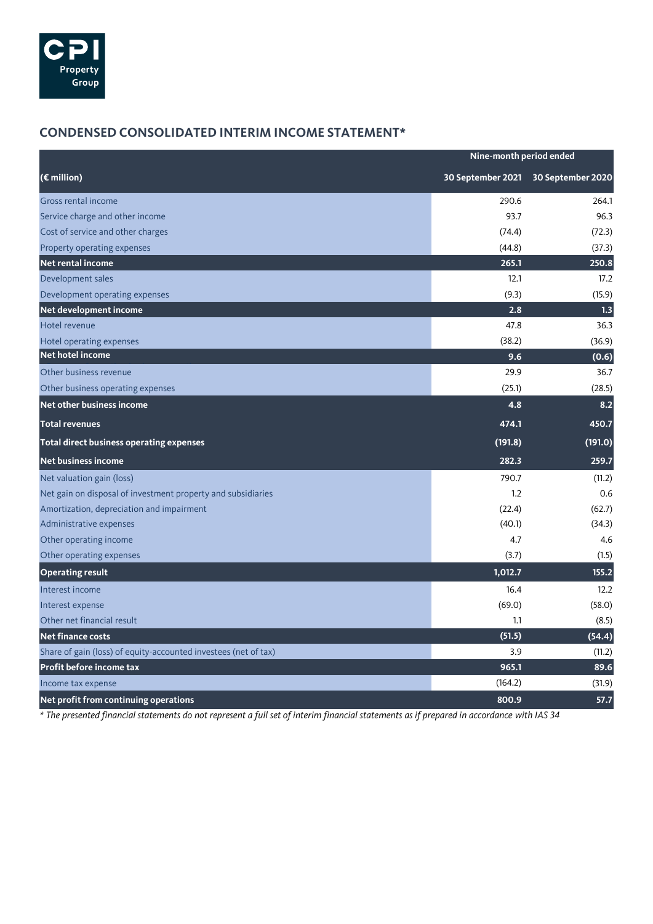

# **CONDENSED CONSOLIDATED INTERIM INCOME STATEMENT\***

| Nine-month period ended                                         |                   |                   |
|-----------------------------------------------------------------|-------------------|-------------------|
| (€ million)                                                     | 30 September 2021 | 30 September 2020 |
| Gross rental income                                             | 290.6             | 264.1             |
| Service charge and other income                                 | 93.7              | 96.3              |
| Cost of service and other charges                               | (74.4)            | (72.3)            |
| Property operating expenses                                     | (44.8)            | (37.3)            |
| <b>Net rental income</b>                                        | 265.1             | 250.8             |
| Development sales                                               | 12.1              | 17.2              |
| Development operating expenses                                  | (9.3)             | (15.9)            |
| Net development income                                          | 2.8               | 1.3               |
| Hotel revenue                                                   | 47.8              | 36.3              |
| Hotel operating expenses                                        | (38.2)            | (36.9)            |
| <b>Net hotel income</b>                                         | 9.6               | (0.6)             |
| Other business revenue                                          | 29.9              | 36.7              |
| Other business operating expenses                               | (25.1)            | (28.5)            |
| Net other business income                                       | 4.8               | 8.2               |
| <b>Total revenues</b>                                           | 474.1             | 450.7             |
| Total direct business operating expenses                        | (191.8)           | (191.0)           |
| <b>Net business income</b>                                      | 282.3             | 259.7             |
| Net valuation gain (loss)                                       | 790.7             | (11.2)            |
| Net gain on disposal of investment property and subsidiaries    | 1.2               | 0.6               |
| Amortization, depreciation and impairment                       | (22.4)            | (62.7)            |
| Administrative expenses                                         | (40.1)            | (34.3)            |
| Other operating income                                          | 4.7               | 4.6               |
| Other operating expenses                                        | (3.7)             | (1.5)             |
| <b>Operating result</b>                                         | 1,012.7           | 155.2             |
| Interest income                                                 | 16.4              | 12.2              |
| Interest expense                                                | (69.0)            | (58.0)            |
| Other net financial result                                      | 1.1               | (8.5)             |
| <b>Net finance costs</b>                                        | (51.5)            | (54.4)            |
| Share of gain (loss) of equity-accounted investees (net of tax) | 3.9               | (11.2)            |
| Profit before income tax                                        | 965.1             | 89.6              |
| Income tax expense                                              | (164.2)           | (31.9)            |
| Net profit from continuing operations                           | 800.9             | 57.7              |

*\* The presented financial statements do not represent a full set of interim financial statements as if prepared in accordance with IAS 34*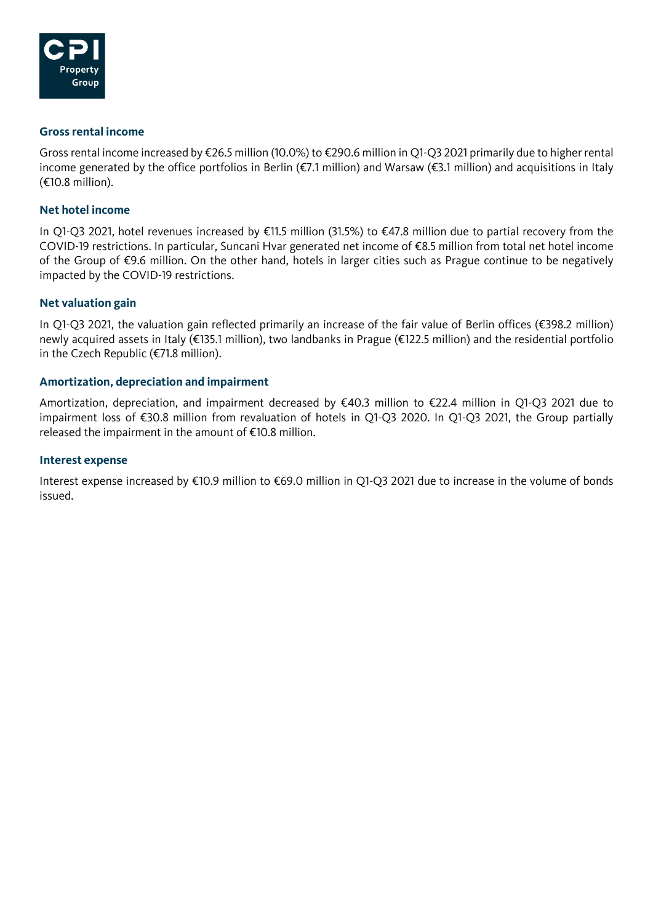

### **Gross rental income**

Gross rental income increased by €26.5 million (10.0%) to €290.6 million in Q1-Q3 2021 primarily due to higher rental income generated by the office portfolios in Berlin (€7.1 million) and Warsaw (€3.1 million) and acquisitions in Italy (€10.8 million).

### **Net hotel income**

In Q1-Q3 2021, hotel revenues increased by €11.5 million (31.5%) to €47.8 million due to partial recovery from the COVID-19 restrictions. In particular, Suncani Hvar generated net income of €8.5 million from total net hotel income of the Group of €9.6 million. On the other hand, hotels in larger cities such as Prague continue to be negatively impacted by the COVID-19 restrictions.

## **Net valuation gain**

In Q1-Q3 2021, the valuation gain reflected primarily an increase of the fair value of Berlin offices (€398.2 million) newly acquired assets in Italy (€135.1 million), two landbanks in Prague (€122.5 million) and the residential portfolio in the Czech Republic (€71.8 million).

## **Amortization, depreciation and impairment**

Amortization, depreciation, and impairment decreased by €40.3 million to €22.4 million in Q1-Q3 2021 due to impairment loss of €30.8 million from revaluation of hotels in Q1-Q3 2020. In Q1-Q3 2021, the Group partially released the impairment in the amount of €10.8 million.

### **Interest expense**

Interest expense increased by €10.9 million to €69.0 million in Q1-Q3 2021 due to increase in the volume of bonds issued.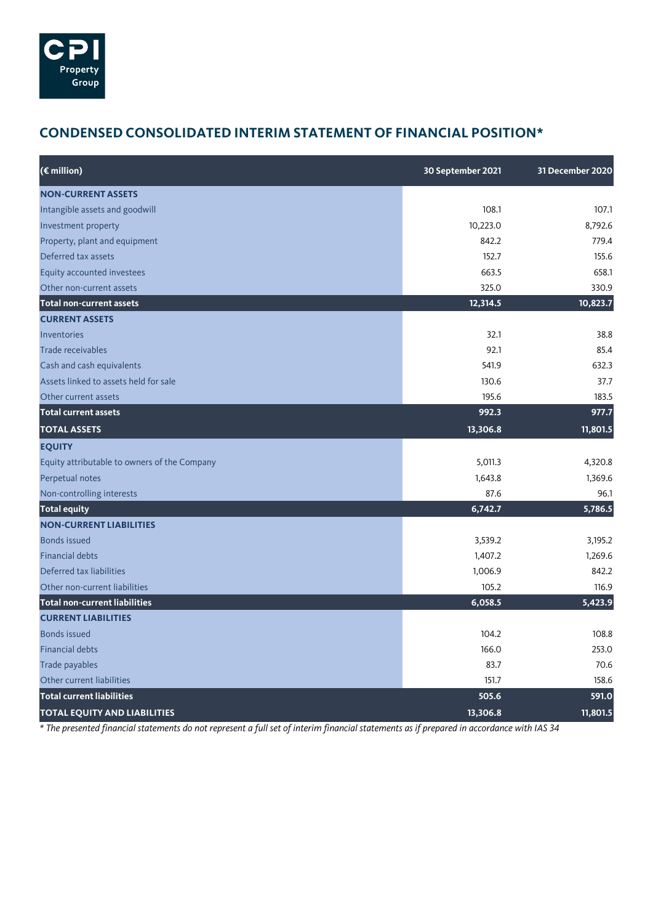

# **CONDENSED CONSOLIDATED INTERIM STATEMENT OF FINANCIAL POSITION\***

| (€ million)                                  | 30 September 2021 | 31 December 2020 |
|----------------------------------------------|-------------------|------------------|
| <b>NON-CURRENT ASSETS</b>                    |                   |                  |
| Intangible assets and goodwill               | 108.1             | 107.1            |
| Investment property                          | 10,223.0          | 8.792.6          |
| Property, plant and equipment                | 842.2             | 779.4            |
| Deferred tax assets                          | 152.7             | 155.6            |
| Equity accounted investees                   | 663.5             | 658.1            |
| Other non-current assets                     | 325.0             | 330.9            |
| <b>Total non-current assets</b>              | 12,314.5          | 10,823.7         |
| <b>CURRENT ASSETS</b>                        |                   |                  |
| Inventories                                  | 32.1              | 38.8             |
| Trade receivables                            | 92.1              | 85.4             |
| Cash and cash equivalents                    | 541.9             | 632.3            |
| Assets linked to assets held for sale        | 130.6             | 37.7             |
| Other current assets                         | 195.6             | 183.5            |
| <b>Total current assets</b>                  | 992.3             | 977.7            |
| <b>TOTAL ASSETS</b>                          | 13,306.8          | 11,801.5         |
| <b>EQUITY</b>                                |                   |                  |
| Equity attributable to owners of the Company | 5,011.3           | 4,320.8          |
| Perpetual notes                              | 1,643.8           | 1,369.6          |
| Non-controlling interests                    | 87.6              | 96.1             |
| <b>Total equity</b>                          | 6,742.7           | 5,786.5          |
| <b>NON-CURRENT LIABILITIES</b>               |                   |                  |
| <b>Bonds issued</b>                          | 3,539.2           | 3,195.2          |
| <b>Financial debts</b>                       | 1,407.2           | 1,269.6          |
| Deferred tax liabilities                     | 1,006.9           | 842.2            |
| Other non-current liabilities                | 105.2             | 116.9            |
| <b>Total non-current liabilities</b>         | 6,058.5           | 5,423.9          |
| <b>CURRENT LIABILITIES</b>                   |                   |                  |
| <b>Bonds issued</b>                          | 104.2             | 108.8            |
| <b>Financial debts</b>                       | 166.0             | 253.0            |
| Trade payables                               | 83.7              | 70.6             |
| Other current liabilities                    | 151.7             | 158.6            |
| <b>Total current liabilities</b>             | 505.6             | 591.0            |
| <b>TOTAL EQUITY AND LIABILITIES</b>          | 13,306.8          | 11,801.5         |

*\* The presented financial statements do not represent a full set of interim financial statements as if prepared in accordance with IAS 34*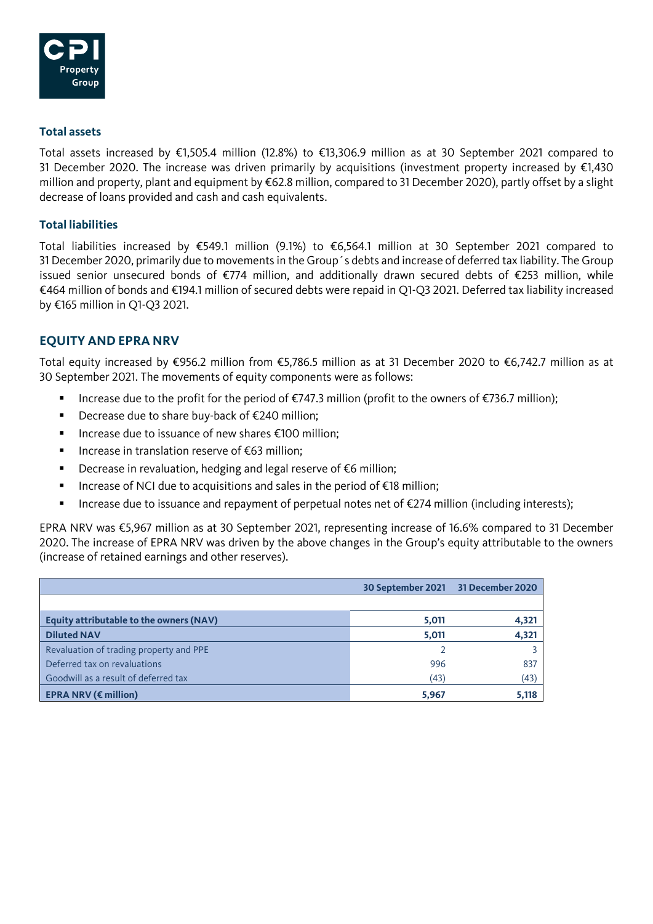

## **Total assets**

Total assets increased by €1,505.4 million (12.8%) to €13,306.9 million as at 30 September 2021 compared to 31 December 2020. The increase was driven primarily by acquisitions (investment property increased by  $\epsilon$ 1,430 million and property, plant and equipment by €62.8 million, compared to 31 December 2020), partly offset by a slight decrease of loans provided and cash and cash equivalents.

## **Total liabilities**

Total liabilities increased by €549.1 million (9.1%) to €6,564.1 million at 30 September 2021 compared to 31 December 2020, primarily due to movements in the Group´s debts and increase of deferred tax liability. The Group issued senior unsecured bonds of €774 million, and additionally drawn secured debts of €253 million, while €464 million of bonds and €194.1 million of secured debts were repaid in Q1-Q3 2021. Deferred tax liability increased by €165 million in Q1-Q3 2021.

## **EQUITY AND EPRA NRV**

Total equity increased by €956.2 million from €5,786.5 million as at 31 December 2020 to €6,742.7 million as at 30 September 2021. The movements of equity components were as follows:

- Increase due to the profit for the period of €747.3 million (profit to the owners of €736.7 million);
- Decrease due to share buy-back of €240 million;
- Increase due to issuance of new shares €100 million;
- Increase in translation reserve of €63 million;
- Decrease in revaluation, hedging and legal reserve of €6 million;
- Increase of NCI due to acquisitions and sales in the period of €18 million;
- Increase due to issuance and repayment of perpetual notes net of €274 million (including interests);

EPRA NRV was €5,967 million as at 30 September 2021, representing increase of 16.6% compared to 31 December 2020. The increase of EPRA NRV was driven by the above changes in the Group's equity attributable to the owners (increase of retained earnings and other reserves).

|                                                 | 30 September 2021 31 December 2020 |       |
|-------------------------------------------------|------------------------------------|-------|
|                                                 |                                    |       |
| Equity attributable to the owners (NAV)         | 5,011                              | 4,321 |
| <b>Diluted NAV</b>                              | 5,011                              | 4,321 |
| Revaluation of trading property and PPE         |                                    |       |
| Deferred tax on revaluations                    | 996                                | 837   |
| Goodwill as a result of deferred tax            | (43)                               | (43)  |
| <b>EPRA NRV (<math>\epsilon</math> million)</b> | 5,967                              | 5,118 |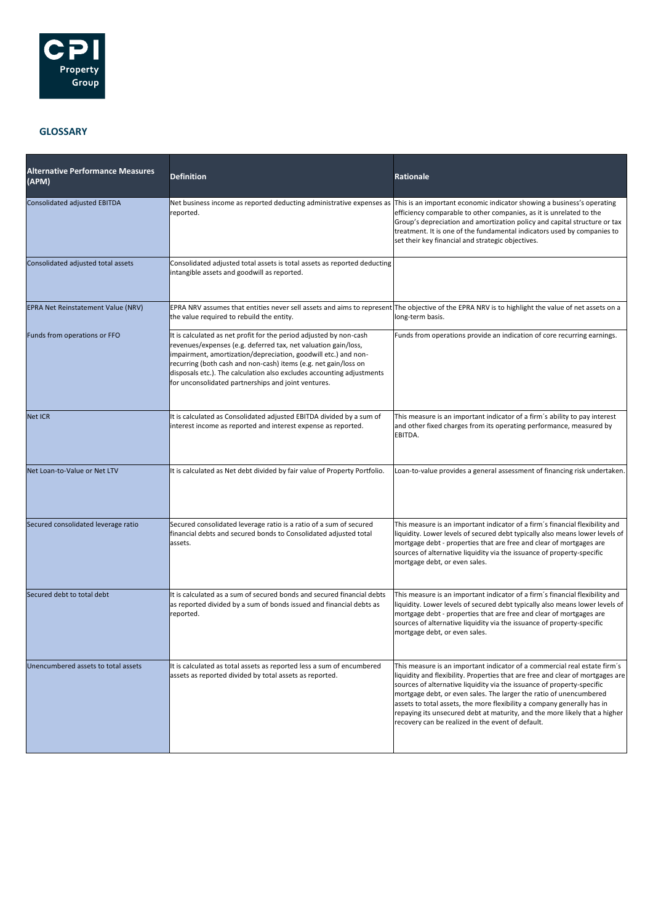

#### **GLOSSARY**

| <b>Alternative Performance Measures</b><br>(APM) | <b>Definition</b>                                                                                                                                                                                                                                                                                                                                                                                         | <b>Rationale</b>                                                                                                                                                                                                                                                                                                                                                                                                                                                                                                          |
|--------------------------------------------------|-----------------------------------------------------------------------------------------------------------------------------------------------------------------------------------------------------------------------------------------------------------------------------------------------------------------------------------------------------------------------------------------------------------|---------------------------------------------------------------------------------------------------------------------------------------------------------------------------------------------------------------------------------------------------------------------------------------------------------------------------------------------------------------------------------------------------------------------------------------------------------------------------------------------------------------------------|
| Consolidated adjusted EBITDA                     | Net business income as reported deducting administrative expenses as<br>reported.                                                                                                                                                                                                                                                                                                                         | This is an important economic indicator showing a business's operating<br>efficiency comparable to other companies, as it is unrelated to the<br>Group's depreciation and amortization policy and capital structure or tax<br>treatment. It is one of the fundamental indicators used by companies to<br>set their key financial and strategic objectives.                                                                                                                                                                |
| Consolidated adjusted total assets               | Consolidated adjusted total assets is total assets as reported deducting<br>intangible assets and goodwill as reported.                                                                                                                                                                                                                                                                                   |                                                                                                                                                                                                                                                                                                                                                                                                                                                                                                                           |
| EPRA Net Reinstatement Value (NRV)               | the value required to rebuild the entity.                                                                                                                                                                                                                                                                                                                                                                 | EPRA NRV assumes that entities never sell assets and aims to represent The objective of the EPRA NRV is to highlight the value of net assets on a<br>long-term basis.                                                                                                                                                                                                                                                                                                                                                     |
| Funds from operations or FFO                     | It is calculated as net profit for the period adjusted by non-cash<br>revenues/expenses (e.g. deferred tax, net valuation gain/loss,<br>impairment, amortization/depreciation, goodwill etc.) and non-<br>recurring (both cash and non-cash) items (e.g. net gain/loss on<br>disposals etc.). The calculation also excludes accounting adjustments<br>for unconsolidated partnerships and joint ventures. | Funds from operations provide an indication of core recurring earnings.                                                                                                                                                                                                                                                                                                                                                                                                                                                   |
| <b>Net ICR</b>                                   | It is calculated as Consolidated adjusted EBITDA divided by a sum of<br>interest income as reported and interest expense as reported.                                                                                                                                                                                                                                                                     | This measure is an important indicator of a firm's ability to pay interest<br>and other fixed charges from its operating performance, measured by<br>EBITDA.                                                                                                                                                                                                                                                                                                                                                              |
| Net Loan-to-Value or Net LTV                     | It is calculated as Net debt divided by fair value of Property Portfolio.                                                                                                                                                                                                                                                                                                                                 | Loan-to-value provides a general assessment of financing risk undertaken.                                                                                                                                                                                                                                                                                                                                                                                                                                                 |
| Secured consolidated leverage ratio              | Secured consolidated leverage ratio is a ratio of a sum of secured<br>financial debts and secured bonds to Consolidated adjusted total<br>assets.                                                                                                                                                                                                                                                         | This measure is an important indicator of a firm's financial flexibility and<br>liquidity. Lower levels of secured debt typically also means lower levels of<br>mortgage debt - properties that are free and clear of mortgages are<br>sources of alternative liquidity via the issuance of property-specific<br>mortgage debt, or even sales.                                                                                                                                                                            |
| Secured debt to total debt                       | It is calculated as a sum of secured bonds and secured financial debts<br>as reported divided by a sum of bonds issued and financial debts as<br>reported.                                                                                                                                                                                                                                                | This measure is an important indicator of a firm's financial flexibility and<br>liquidity. Lower levels of secured debt typically also means lower levels of<br>mortgage debt - properties that are free and clear of mortgages are<br>sources of alternative liquidity via the issuance of property-specific<br>mortgage debt, or even sales.                                                                                                                                                                            |
| Unencumbered assets to total assets              | It is calculated as total assets as reported less a sum of encumbered<br>assets as reported divided by total assets as reported.                                                                                                                                                                                                                                                                          | This measure is an important indicator of a commercial real estate firm's<br>liquidity and flexibility. Properties that are free and clear of mortgages are<br>sources of alternative liquidity via the issuance of property-specific<br>mortgage debt, or even sales. The larger the ratio of unencumbered<br>assets to total assets, the more flexibility a company generally has in<br>repaying its unsecured debt at maturity, and the more likely that a higher<br>recovery can be realized in the event of default. |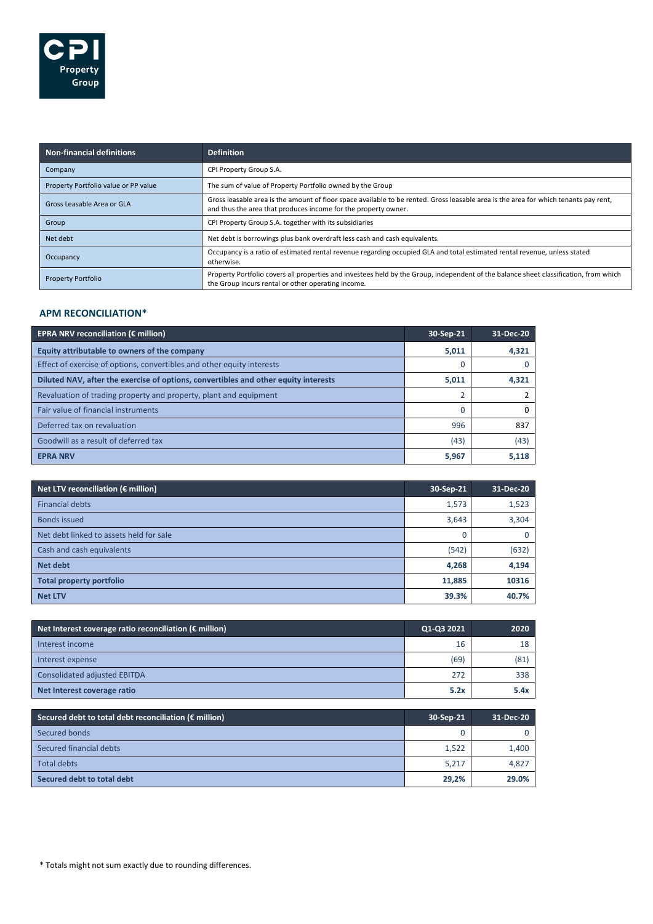

| <b>Non-financial definitions</b>     | <b>Definition</b>                                                                                                                                                                                      |
|--------------------------------------|--------------------------------------------------------------------------------------------------------------------------------------------------------------------------------------------------------|
| Company                              | CPI Property Group S.A.                                                                                                                                                                                |
| Property Portfolio value or PP value | The sum of value of Property Portfolio owned by the Group                                                                                                                                              |
| Gross Leasable Area or GLA           | Gross leasable area is the amount of floor space available to be rented. Gross leasable area is the area for which tenants pay rent,<br>and thus the area that produces income for the property owner. |
| Group                                | CPI Property Group S.A. together with its subsidiaries                                                                                                                                                 |
| Net debt                             | Net debt is borrowings plus bank overdraft less cash and cash equivalents.                                                                                                                             |
| Occupancy                            | Occupancy is a ratio of estimated rental revenue regarding occupied GLA and total estimated rental revenue, unless stated<br>otherwise.                                                                |
| <b>Property Portfolio</b>            | Property Portfolio covers all properties and investees held by the Group, independent of the balance sheet classification, from which<br>the Group incurs rental or other operating income.            |

### **APM RECONCILIATION\***

| <b>EPRA NRV reconciliation (€ million)</b>                                          | 30-Sep-21 | 31-Dec-20 |
|-------------------------------------------------------------------------------------|-----------|-----------|
| Equity attributable to owners of the company                                        | 5,011     | 4,321     |
| Effect of exercise of options, convertibles and other equity interests              |           |           |
| Diluted NAV, after the exercise of options, convertibles and other equity interests | 5,011     | 4,321     |
| Revaluation of trading property and property, plant and equipment                   |           |           |
| Fair value of financial instruments                                                 |           | 0         |
| Deferred tax on revaluation                                                         | 996       | 837       |
| Goodwill as a result of deferred tax                                                | (43)      | (43)      |
| <b>EPRA NRV</b>                                                                     | 5,967     | 5,118     |

| Net LTV reconciliation ( $\epsilon$ million) | 30-Sep-21 | 31-Dec-20 |
|----------------------------------------------|-----------|-----------|
| <b>Financial debts</b>                       | 1,573     | 1,523     |
| <b>Bonds issued</b>                          | 3,643     | 3,304     |
| Net debt linked to assets held for sale      | 0         | 0         |
| Cash and cash equivalents                    | (542)     | (632)     |
| Net debt                                     | 4,268     | 4,194     |
| <b>Total property portfolio</b>              | 11,885    | 10316     |
| <b>Net LTV</b>                               | 39.3%     | 40.7%     |

| Net Interest coverage ratio reconciliation ( $\epsilon$ million) | Q1-Q3 2021 | 2020 |
|------------------------------------------------------------------|------------|------|
| Interest income                                                  | 16         | 18   |
| Interest expense                                                 | (69)       | (81) |
| <b>Consolidated adjusted EBITDA</b>                              | 272        | 338  |
| Net Interest coverage ratio                                      | 5.2x       | 5.4x |

| Secured debt to total debt reconciliation ( $\epsilon$ million) | 30-Sep-21 | 31-Dec-20 |
|-----------------------------------------------------------------|-----------|-----------|
| Secured bonds                                                   | 0         |           |
| Secured financial debts                                         | 1,522     | 1,400     |
| <b>Total debts</b>                                              | 5,217     | 4,827     |
| Secured debt to total debt                                      | 29,2%     | 29.0%     |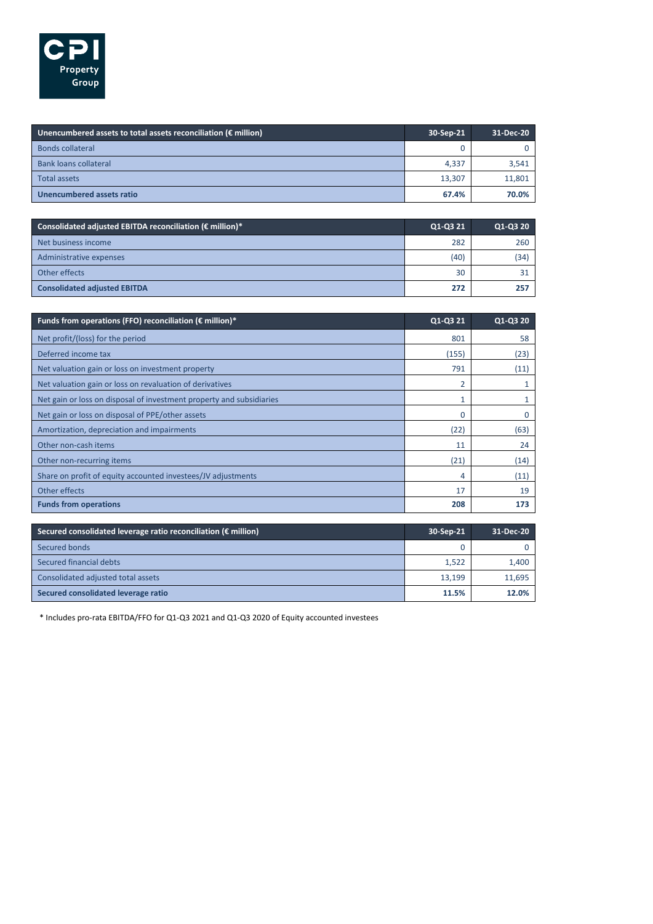

| Unencumbered assets to total assets reconciliation ( $\epsilon$ million) | 30-Sep-21 | 31-Dec-20 |
|--------------------------------------------------------------------------|-----------|-----------|
| <b>Bonds collateral</b>                                                  | 0         |           |
| <b>Bank loans collateral</b>                                             | 4.337     | 3,541     |
| <b>Total assets</b>                                                      | 13,307    | 11,801    |
| Unencumbered assets ratio                                                | 67.4%     | 70.0%     |

| Consolidated adjusted EBITDA reconciliation ( $\epsilon$ million)* | Q1-Q3 21 | Q1-Q3 20 |
|--------------------------------------------------------------------|----------|----------|
| Net business income                                                | 282      | 260      |
| Administrative expenses                                            | (40)     | (34)     |
| Other effects                                                      | 30       |          |
| <b>Consolidated adjusted EBITDA</b>                                | 272      | 257      |

| Funds from operations (FFO) reconciliation ( $\epsilon$ million)*    | Q1-Q3 21 | Q1-Q3 20     |
|----------------------------------------------------------------------|----------|--------------|
| Net profit/(loss) for the period                                     | 801      | 58           |
| Deferred income tax                                                  | (155)    | (23)         |
| Net valuation gain or loss on investment property                    | 791      | (11)         |
| Net valuation gain or loss on revaluation of derivatives             | 2        |              |
| Net gain or loss on disposal of investment property and subsidiaries |          | $\mathbf{1}$ |
| Net gain or loss on disposal of PPE/other assets                     | 0        | 0            |
| Amortization, depreciation and impairments                           | (22)     | (63)         |
| Other non-cash items                                                 | 11       | 24           |
| Other non-recurring items                                            | (21)     | (14)         |
| Share on profit of equity accounted investees/JV adjustments         | 4        | (11)         |
| Other effects                                                        | 17       | 19           |
| <b>Funds from operations</b>                                         | 208      | 173          |

| Secured consolidated leverage ratio reconciliation ( $\epsilon$ million) | 30-Sep-21 | 31-Dec-20 |
|--------------------------------------------------------------------------|-----------|-----------|
| Secured bonds                                                            | 0         |           |
| Secured financial debts                                                  | 1,522     | 1.400     |
| Consolidated adjusted total assets                                       | 13,199    | 11,695    |
| Secured consolidated leverage ratio                                      | 11.5%     | 12.0%     |

\* Includes pro-rata EBITDA/FFO for Q1-Q3 2021 and Q1-Q3 2020 of Equity accounted investees